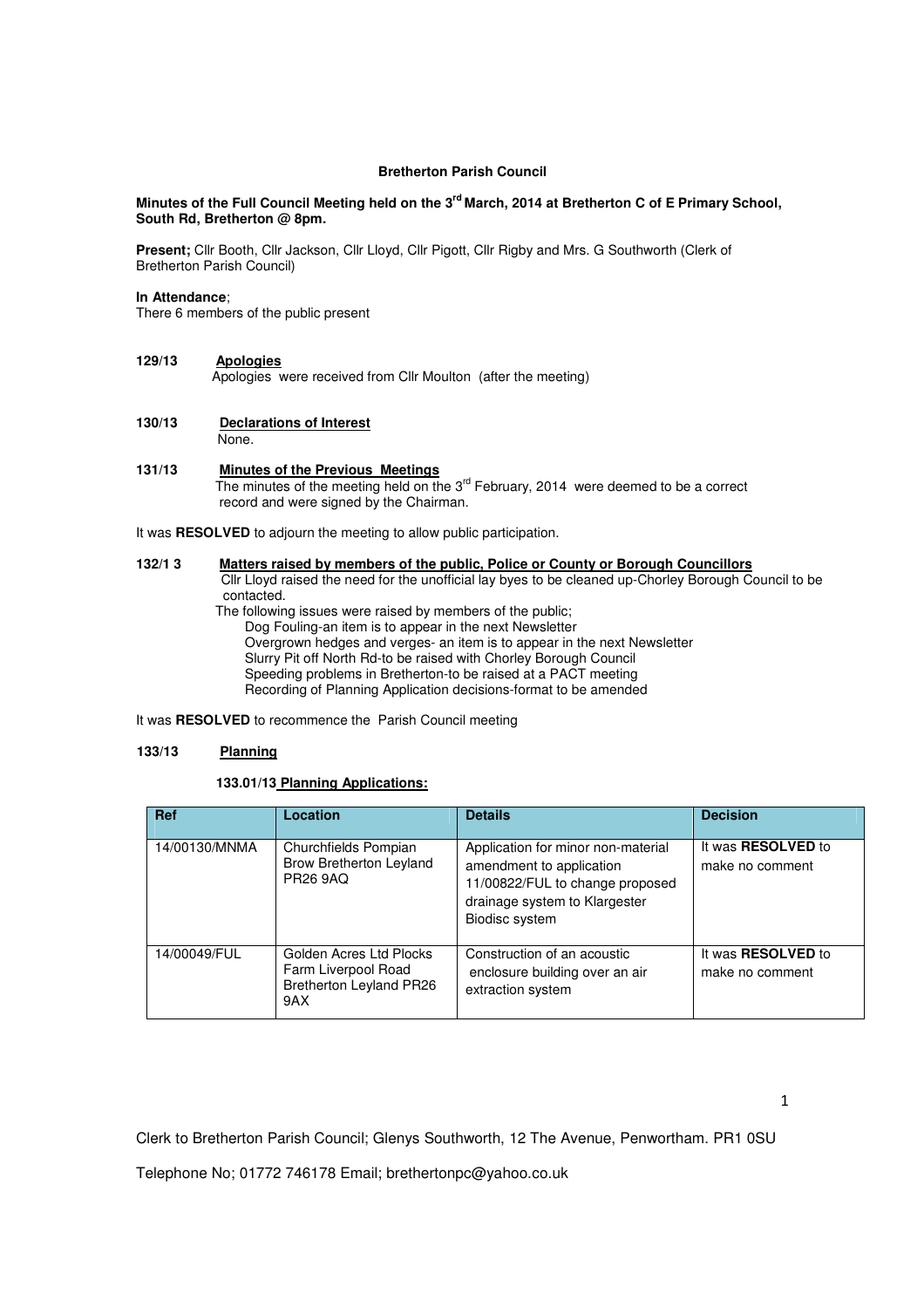## **Bretherton Parish Council**

## **Minutes of the Full Council Meeting held on the 3rd March, 2014 at Bretherton C of E Primary School, South Rd, Bretherton @ 8pm.**

**Present;** Cllr Booth, Cllr Jackson, Cllr Lloyd, Cllr Pigott, Cllr Rigby and Mrs. G Southworth (Clerk of Bretherton Parish Council)

## **In Attendance**;

There 6 members of the public present

### **129/13 Apologies**

Apologies were received from Cllr Moulton (after the meeting)

# **130/13 Declarations of Interest**

None.

### **131/13 Minutes of the Previous Meetings**

The minutes of the meeting held on the 3<sup>rd</sup> February, 2014 were deemed to be a correct record and were signed by the Chairman.

It was **RESOLVED** to adjourn the meeting to allow public participation.

## **132/1 3 Matters raised by members of the public, Police or County or Borough Councillors**

 Cllr Lloyd raised the need for the unofficial lay byes to be cleaned up-Chorley Borough Council to be contacted.

 The following issues were raised by members of the public; Dog Fouling-an item is to appear in the next Newsletter Overgrown hedges and verges- an item is to appear in the next Newsletter Slurry Pit off North Rd-to be raised with Chorley Borough Council Speeding problems in Bretherton-to be raised at a PACT meeting Recording of Planning Application decisions-format to be amended

It was **RESOLVED** to recommence the Parish Council meeting

## **133/13 Planning**

# **133.01/13 Planning Applications:**

| <b>Ref</b>    | Location                                                                                | <b>Details</b>                                                                                                                                       | <b>Decision</b>                              |
|---------------|-----------------------------------------------------------------------------------------|------------------------------------------------------------------------------------------------------------------------------------------------------|----------------------------------------------|
| 14/00130/MNMA | Churchfields Pompian<br><b>Brow Bretherton Leyland</b><br><b>PR26 9AQ</b>               | Application for minor non-material<br>amendment to application<br>11/00822/FUL to change proposed<br>drainage system to Klargester<br>Biodisc system | It was <b>RESOLVED</b> to<br>make no comment |
| 14/00049/FUL  | Golden Acres Ltd Plocks<br>Farm Liverpool Road<br><b>Bretherton Leyland PR26</b><br>9AX | Construction of an acoustic<br>enclosure building over an air<br>extraction system                                                                   | It was <b>RESOLVED</b> to<br>make no comment |

Clerk to Bretherton Parish Council; Glenys Southworth, 12 The Avenue, Penwortham. PR1 0SU

Telephone No; 01772 746178 Email; brethertonpc@yahoo.co.uk